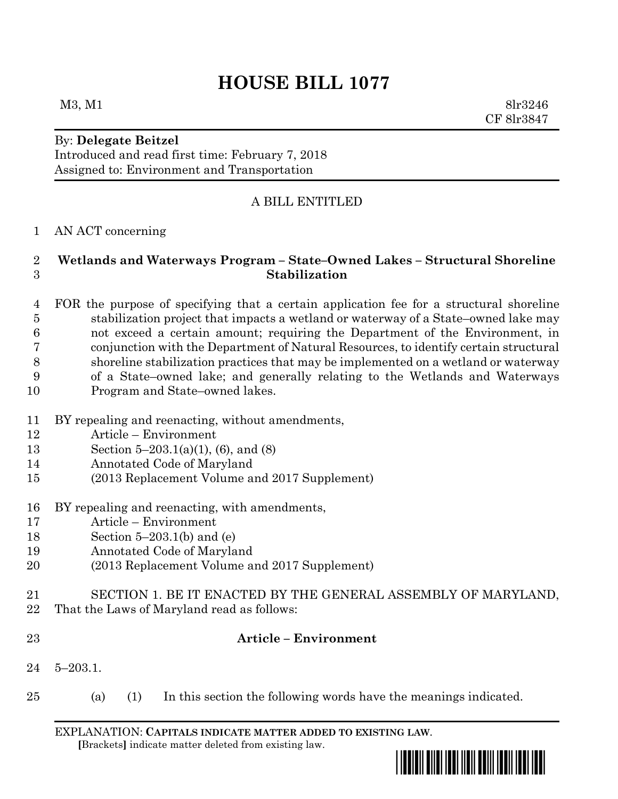# **HOUSE BILL 1077**

 $M3, M1$  8lr3246 CF 8lr3847

# By: **Delegate Beitzel**

Introduced and read first time: February 7, 2018 Assigned to: Environment and Transportation

## A BILL ENTITLED

#### AN ACT concerning

### **Wetlands and Waterways Program – State–Owned Lakes – Structural Shoreline Stabilization**

 FOR the purpose of specifying that a certain application fee for a structural shoreline stabilization project that impacts a wetland or waterway of a State–owned lake may not exceed a certain amount; requiring the Department of the Environment, in conjunction with the Department of Natural Resources, to identify certain structural shoreline stabilization practices that may be implemented on a wetland or waterway of a State–owned lake; and generally relating to the Wetlands and Waterways Program and State–owned lakes.

- BY repealing and reenacting, without amendments,
- Article Environment
- Section 5–203.1(a)(1), (6), and (8)
- Annotated Code of Maryland
- (2013 Replacement Volume and 2017 Supplement)
- BY repealing and reenacting, with amendments,
- Article Environment
- Section 5–203.1(b) and (e)
- Annotated Code of Maryland
- (2013 Replacement Volume and 2017 Supplement)
- SECTION 1. BE IT ENACTED BY THE GENERAL ASSEMBLY OF MARYLAND,
- That the Laws of Maryland read as follows:
- 

#### **Article – Environment**

- 5–203.1.
- (a) (1) In this section the following words have the meanings indicated.

EXPLANATION: **CAPITALS INDICATE MATTER ADDED TO EXISTING LAW**.  **[**Brackets**]** indicate matter deleted from existing law.

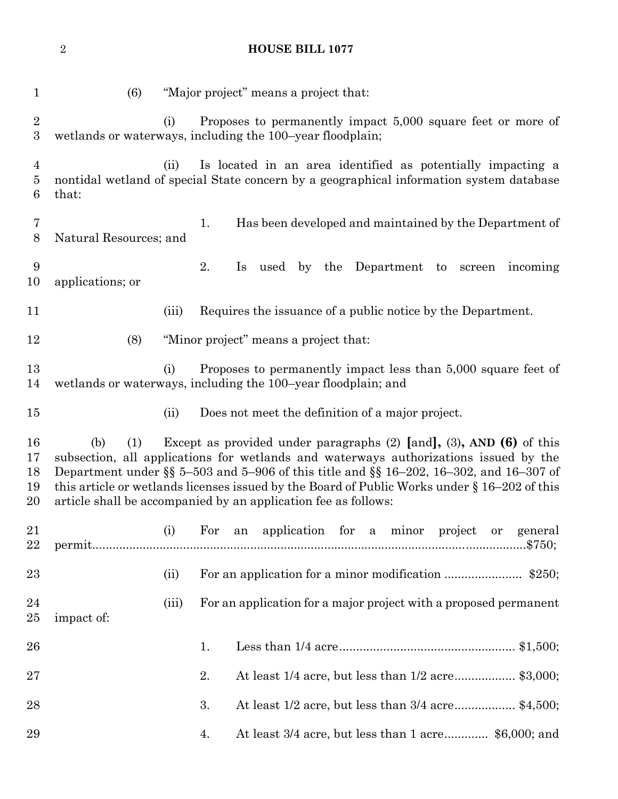**HOUSE BILL 1077**

| 1                                     | (6)                                                                                                                                                                                                                                                                                                                                                               |       |     |    | "Major project" means a project that: |             |     |                                                             |         |    |                                                                            |
|---------------------------------------|-------------------------------------------------------------------------------------------------------------------------------------------------------------------------------------------------------------------------------------------------------------------------------------------------------------------------------------------------------------------|-------|-----|----|---------------------------------------|-------------|-----|-------------------------------------------------------------|---------|----|----------------------------------------------------------------------------|
| $\sqrt{2}$<br>$\boldsymbol{3}$        | wetlands or waterways, including the 100-year floodplain;                                                                                                                                                                                                                                                                                                         | (i)   |     |    |                                       |             |     |                                                             |         |    | Proposes to permanently impact 5,000 square feet or more of                |
| $\overline{4}$<br>$\overline{5}$<br>6 | nontidal wetland of special State concern by a geographical information system database<br>that:                                                                                                                                                                                                                                                                  | (ii)  |     |    |                                       |             |     |                                                             |         |    | Is located in an area identified as potentially impacting a                |
| 7<br>8                                | Natural Resources; and                                                                                                                                                                                                                                                                                                                                            |       | 1.  |    |                                       |             |     |                                                             |         |    | Has been developed and maintained by the Department of                     |
| 9<br>10                               | applications; or                                                                                                                                                                                                                                                                                                                                                  |       | 2.  | Is | used                                  | $_{\rm by}$ |     | the Department to screen                                    |         |    | incoming                                                                   |
| 11                                    |                                                                                                                                                                                                                                                                                                                                                                   | (iii) |     |    |                                       |             |     | Requires the issuance of a public notice by the Department. |         |    |                                                                            |
| 12                                    | (8)                                                                                                                                                                                                                                                                                                                                                               |       |     |    | "Minor project" means a project that: |             |     |                                                             |         |    |                                                                            |
| 13<br>14                              | wetlands or waterways, including the 100-year floodplain; and                                                                                                                                                                                                                                                                                                     | (i)   |     |    |                                       |             |     |                                                             |         |    | Proposes to permanently impact less than 5,000 square feet of              |
| 15                                    |                                                                                                                                                                                                                                                                                                                                                                   | (ii)  |     |    |                                       |             |     | Does not meet the definition of a major project.            |         |    |                                                                            |
| 16<br>17<br>18<br>19<br>20            | (1)<br>(b)<br>subsection, all applications for wetlands and waterways authorizations issued by the<br>Department under §§ 5-503 and 5-906 of this title and §§ 16-202, 16-302, and 16-307 of<br>this article or wetlands licenses issued by the Board of Public Works under $\S 16-202$ of this<br>article shall be accompanied by an application fee as follows: |       |     |    |                                       |             |     |                                                             |         |    | Except as provided under paragraphs $(2)$ [and], $(3)$ , AND $(6)$ of this |
| 21<br>22                              |                                                                                                                                                                                                                                                                                                                                                                   | (i)   | For | an |                                       | application | for | a minor                                                     | project | or | general                                                                    |
| 23                                    |                                                                                                                                                                                                                                                                                                                                                                   | (ii)  |     |    |                                       |             |     |                                                             |         |    |                                                                            |
| 24<br>25                              | impact of:                                                                                                                                                                                                                                                                                                                                                        | (iii) |     |    |                                       |             |     |                                                             |         |    | For an application for a major project with a proposed permanent           |
| 26                                    |                                                                                                                                                                                                                                                                                                                                                                   |       | 1.  |    |                                       |             |     |                                                             |         |    |                                                                            |
| 27                                    |                                                                                                                                                                                                                                                                                                                                                                   |       | 2.  |    |                                       |             |     |                                                             |         |    | At least 1/4 acre, but less than 1/2 acre\$3,000;                          |
| 28                                    |                                                                                                                                                                                                                                                                                                                                                                   |       | 3.  |    |                                       |             |     |                                                             |         |    | At least 1/2 acre, but less than 3/4 acre\$4,500;                          |
| 29                                    |                                                                                                                                                                                                                                                                                                                                                                   |       | 4.  |    |                                       |             |     |                                                             |         |    | At least 3/4 acre, but less than 1 acre \$6,000; and                       |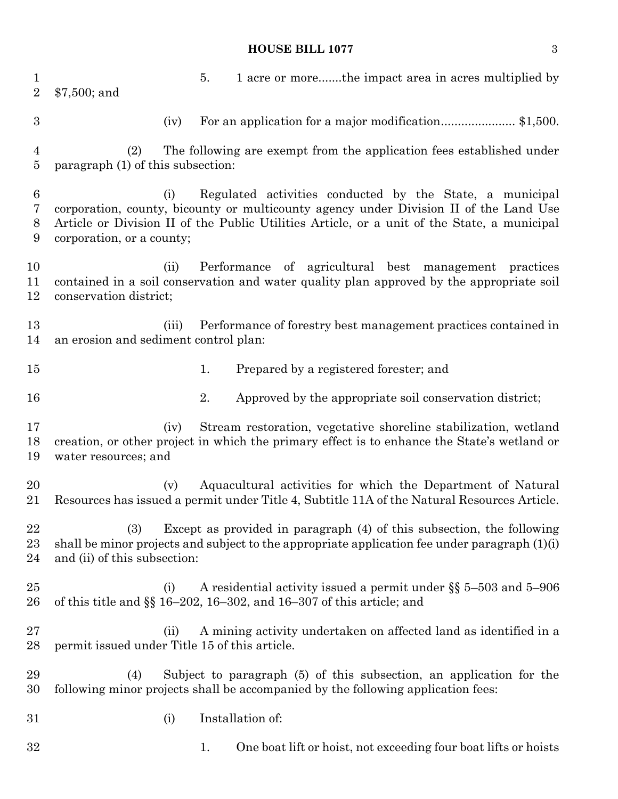#### **HOUSE BILL 1077** 3

1 1 1 acre or more.......the impact area in acres multiplied by \$7,500; and 3 (iv) For an application for a major modification............................\$1,500. (2) The following are exempt from the application fees established under paragraph (1) of this subsection: (i) Regulated activities conducted by the State, a municipal corporation, county, bicounty or multicounty agency under Division II of the Land Use Article or Division II of the Public Utilities Article, or a unit of the State, a municipal corporation, or a county; (ii) Performance of agricultural best management practices contained in a soil conservation and water quality plan approved by the appropriate soil conservation district; (iii) Performance of forestry best management practices contained in an erosion and sediment control plan: 1. Prepared by a registered forester; and 2. Approved by the appropriate soil conservation district; (iv) Stream restoration, vegetative shoreline stabilization, wetland creation, or other project in which the primary effect is to enhance the State's wetland or water resources; and (v) Aquacultural activities for which the Department of Natural Resources has issued a permit under Title 4, Subtitle 11A of the Natural Resources Article. (3) Except as provided in paragraph (4) of this subsection, the following shall be minor projects and subject to the appropriate application fee under paragraph (1)(i) and (ii) of this subsection: (i) A residential activity issued a permit under §§ 5–503 and 5–906 of this title and §§ 16–202, 16–302, and 16–307 of this article; and (ii) A mining activity undertaken on affected land as identified in a permit issued under Title 15 of this article. (4) Subject to paragraph (5) of this subsection, an application for the following minor projects shall be accompanied by the following application fees: (i) Installation of: 32 1. One boat lift or hoist, not exceeding four boat lifts or hoists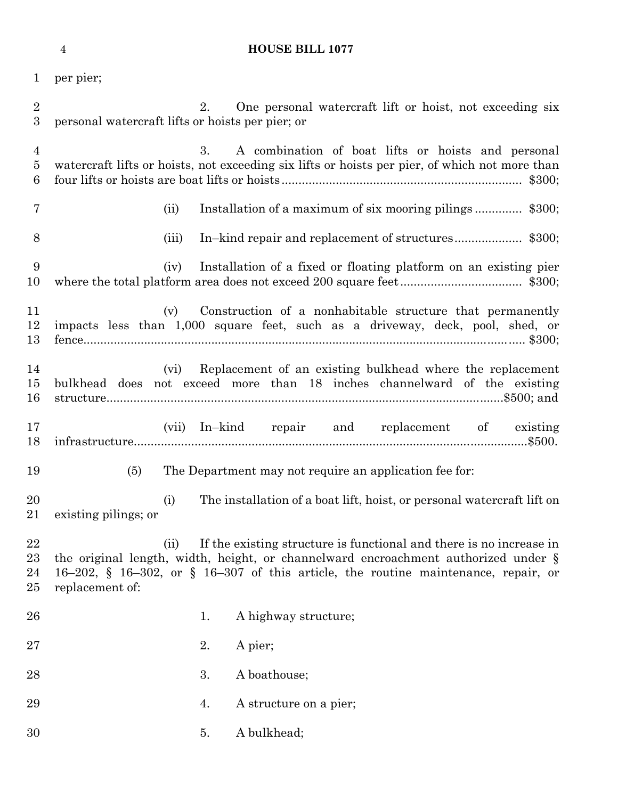|  | <b>HOUSE BILL 1077</b> |
|--|------------------------|

per pier;

| $\overline{2}$<br>$\boldsymbol{3}$ | 2.<br>One personal watercraft lift or hoist, not exceeding six<br>personal watercraft lifts or hoists per pier; or                                                                                                                                                         |
|------------------------------------|----------------------------------------------------------------------------------------------------------------------------------------------------------------------------------------------------------------------------------------------------------------------------|
| $\overline{4}$<br>5<br>6           | 3.<br>A combination of boat lifts or hoists and personal<br>watercraft lifts or hoists, not exceeding six lifts or hoists per pier, of which not more than                                                                                                                 |
| 7                                  | (ii)                                                                                                                                                                                                                                                                       |
| 8                                  | (iii)                                                                                                                                                                                                                                                                      |
| 9<br>10                            | Installation of a fixed or floating platform on an existing pier<br>(iv)                                                                                                                                                                                                   |
| 11<br>$12\,$<br>13                 | Construction of a nonhabitable structure that permanently<br>(v)<br>impacts less than 1,000 square feet, such as a driveway, deck, pool, shed, or                                                                                                                          |
| 14<br>15<br>16                     | Replacement of an existing bulkhead where the replacement<br>(vi)<br>bulkhead does not exceed more than 18 inches channelward of the existing                                                                                                                              |
| 17<br>18                           | (vii) In-kind repair and replacement of existing                                                                                                                                                                                                                           |
| 19                                 | The Department may not require an application fee for:<br>(5)                                                                                                                                                                                                              |
| 20<br>21                           | The installation of a boat lift, hoist, or personal watercraft lift on<br>(i)<br>existing pilings; or                                                                                                                                                                      |
| 22<br>$23\,$<br>24<br>$25\,$       | If the existing structure is functional and there is no increase in<br>(ii)<br>the original length, width, height, or channelward encroachment authorized under §<br>16-202, § 16-302, or § 16-307 of this article, the routine maintenance, repair, or<br>replacement of: |
| 26                                 | A highway structure;<br>1.                                                                                                                                                                                                                                                 |
| $27\,$                             | 2.<br>A pier;                                                                                                                                                                                                                                                              |
|                                    |                                                                                                                                                                                                                                                                            |
| 28                                 | 3.<br>A boathouse;                                                                                                                                                                                                                                                         |
| 29                                 | A structure on a pier;<br>4.                                                                                                                                                                                                                                               |